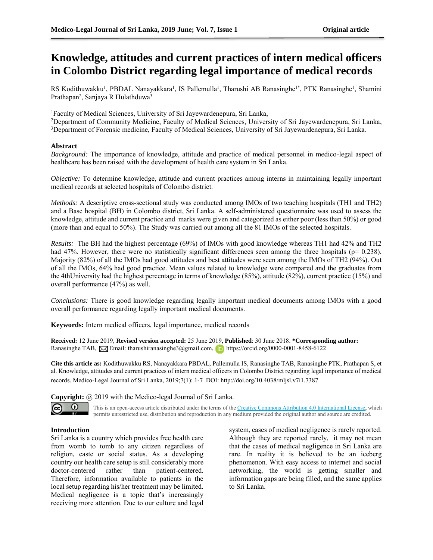# **Knowledge, attitudes and current practices of intern medical officers in Colombo District regarding legal importance of medical records**

RS Kodithuwakku<sup>1</sup>, PBDAL Nanayakkara<sup>1</sup>, IS Pallemulla<sup>1</sup>, Tharushi AB Ranasinghe<sup>1\*</sup>, PTK Ranasinghe<sup>1</sup>, Shamini Prathapan<sup>2</sup>, Sanjaya R Hulathduwa<sup>3</sup>

<sup>1</sup>Faculty of Medical Sciences, University of Sri Jayewardenepura, Sri Lanka,

<sup>2</sup>Department of Community Medicine, Faculty of Medical Sciences, University of Sri Jayewardenepura, Sri Lanka, <sup>3</sup>Department of Forensic medicine, Faculty of Medical Sciences, University of Sri Jayewardenepura, Sri Lanka.

## **Abstract**

*Background:* The importance of knowledge, attitude and practice of medical personnel in medico-legal aspect of healthcare has been raised with the development of health care system in Sri Lanka.

*Objective:* To determine knowledge, attitude and current practices among interns in maintaining legally important medical records at selected hospitals of Colombo district.

*Methods:* A descriptive cross-sectional study was conducted among IMOs of two teaching hospitals (TH1 and TH2) and a Base hospital (BH) in Colombo district, Sri Lanka. A self-administered questionnaire was used to assess the knowledge, attitude and current practice and marks were given and categorized as either poor (less than 50%) or good (more than and equal to 50%). The Study was carried out among all the 81 IMOs of the selected hospitals.

*Results:* The BH had the highest percentage (69%) of IMOs with good knowledge whereas TH1 had 42% and TH2 had 47%. However, there were no statistically significant differences seen among the three hospitals (p= 0.238). Majority (82%) of all the IMOs had good attitudes and best attitudes were seen among the IMOs of TH2 (94%). Out of all the IMOs, 64% had good practice. Mean values related to knowledge were compared and the graduates from the 4thUniversity had the highest percentage in terms of knowledge (85%), attitude (82%), current practice (15%) and overall performance (47%) as well.

*Conclusions:* There is good knowledge regarding legally important medical documents among IMOs with a good overall performance regarding legally important medical documents.

**Keywords:** Intern medical officers, legal importance, medical records

**Received:** 12 June 2019, **Revised version accepted:** 25 June 2019, **Published**: 30 June 2018. **\*Corresponding author:**  Ranasinghe TAB,  $\boxtimes$  Email: tharushiranasinghe3@gmail.com, https://orcid.org/0000-0001-8458-6122

**Cite this article as:** Kodithuwakku RS, Nanayakkara PBDAL, Pallemulla IS, Ranasinghe TAB, Ranasinghe PTK, Prathapan S, et al. Knowledge, attitudes and current practices of intern medical officers in Colombo District regarding legal importance of medical records. Medico-Legal Journal of Sri Lanka, 2019;7(1): 1-7 DOI: http://doi.org/10.4038/mljsl.v7i1.7387

**Copyright:** @ 2019 with the Medico-legal Journal of Sri Lanka.





This is an open-access article distributed under the terms of th[e Creative Commons Attribution 4.0 International License,](http://creativecommons.org/licenses/by/4.0/) which permits unrestricted use, distribution and reproduction in any medium provided the original author and source are credited.

# **Introduction**

Sri Lanka is a country which provides free health care from womb to tomb to any citizen regardless of religion, caste or social status. As a developing country our health care setup is still considerably more doctor-centered rather than patient-centered. Therefore, information available to patients in the local setup regarding his/her treatment may be limited. Medical negligence is a topic that's increasingly receiving more attention. Due to our culture and legal

system, cases of medical negligence is rarely reported. Although they are reported rarely, it may not mean that the cases of medical negligence in Sri Lanka are rare. In reality it is believed to be an iceberg phenomenon. With easy access to internet and social networking, the world is getting smaller and information gaps are being filled, and the same applies to Sri Lanka.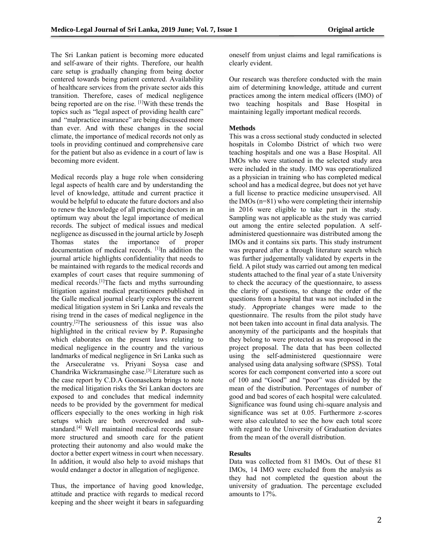The Sri Lankan patient is becoming more educated and self-aware of their rights. Therefore, our health care setup is gradually changing from being doctor centered towards being patient centered. Availability of healthcare services from the private sector aids this transition. Therefore, cases of medical negligence being reported are on the rise. [1] With these trends the topics such as "legal aspect of providing health care" and "malpractice insurance" are being discussed more than ever. And with these changes in the social climate, the importance of medical records not only as tools in providing continued and comprehensive care for the patient but also as evidence in a court of law is becoming more evident.

Medical records play a huge role when considering legal aspects of health care and by understanding the level of knowledge, attitude and current practice it would be helpful to educate the future doctors and also to renew the knowledge of all practicing doctors in an optimum way about the legal importance of medical records. The subject of medical issues and medical negligence as discussed in the journal article by Joseph Thomas states the importance of proper documentation of medical records. <sup>[1]</sup>In addition the journal article highlights confidentiality that needs to be maintained with regards to the medical records and examples of court cases that require summoning of medical records.[1]The facts and myths surrounding litigation against medical practitioners published in the Galle medical journal clearly explores the current medical litigation system in Sri Lanka and reveals the rising trend in the cases of medical negligence in the country.[2]The seriousness of this issue was also highlighted in the critical review by P. Rupasinghe which elaborates on the present laws relating to medical negligence in the country and the various landmarks of medical negligence in Sri Lanka such as the Arseculeratne vs. Priyani Soysa case and Chandrika Wickramasinghe case.[3] Literature such as the case report by C.D.A Goonasekera brings to note the medical litigation risks the Sri Lankan doctors are exposed to and concludes that medical indemnity needs to be provided by the government for medical officers especially to the ones working in high risk setups which are both overcrowded and substandard.[4] Well maintained medical records ensure more structured and smooth care for the patient protecting their autonomy and also would make the doctor a better expert witness in court when necessary. In addition, it would also help to avoid mishaps that would endanger a doctor in allegation of negligence.

Thus, the importance of having good knowledge, attitude and practice with regards to medical record keeping and the sheer weight it bears in safeguarding oneself from unjust claims and legal ramifications is clearly evident.

Our research was therefore conducted with the main aim of determining knowledge, attitude and current practices among the intern medical officers (IMO) of two teaching hospitals and Base Hospital in maintaining legally important medical records.

# **Methods**

This was a cross sectional study conducted in selected hospitals in Colombo District of which two were teaching hospitals and one was a Base Hospital. All IMOs who were stationed in the selected study area were included in the study. IMO was operationalized as a physician in training who has completed medical school and has a medical degree, but does not yet have a full license to practice medicine unsupervised. All the IMOs (n=81) who were completing their internship in 2016 were eligible to take part in the study. Sampling was not applicable as the study was carried out among the entire selected population. A selfadministered questionnaire was distributed among the IMOs and it contains six parts. This study instrument was prepared after a through literature search which was further judgementally validated by experts in the field. A pilot study was carried out among ten medical students attached to the final year of a state University to check the accuracy of the questionnaire, to assess the clarity of questions, to change the order of the questions from a hospital that was not included in the study. Appropriate changes were made to the questionnaire. The results from the pilot study have not been taken into account in final data analysis. The anonymity of the participants and the hospitals that they belong to were protected as was proposed in the project proposal. The data that has been collected using the self-administered questionnaire were analysed using data analysing software (SPSS). Total scores for each component converted into a score out of 100 and "Good" and "poor" was divided by the mean of the distribution. Percentages of number of good and bad scores of each hospital were calculated. Significance was found using chi-square analysis and significance was set at 0.05. Furthermore z-scores were also calculated to see the how each total score with regard to the University of Graduation deviates from the mean of the overall distribution.

# **Results**

Data was collected from 81 IMOs. Out of these 81 IMOs, 14 IMO were excluded from the analysis as they had not completed the question about the university of graduation. The percentage excluded amounts to 17%.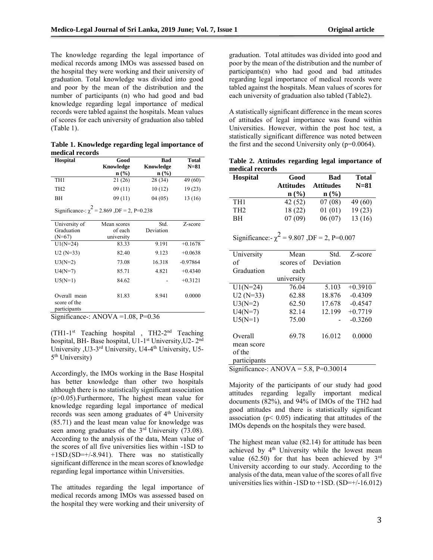The knowledge regarding the legal importance of medical records among IMOs was assessed based on the hospital they were working and their university of graduation. Total knowledge was divided into good and poor by the mean of the distribution and the number of participants (n) who had good and bad knowledge regarding legal importance of medical records were tabled against the hospitals. Mean values of scores for each university of graduation also tabled (Table 1).

**Table 1. Knowledge regarding legal importance of medical records** 

| <b>Hospital</b> | Good      | Bad       | <b>Total</b> |  |
|-----------------|-----------|-----------|--------------|--|
|                 | Knowledge | Knowledge | $N=81$       |  |
|                 | n(%)      | $n$ (%)   |              |  |
| TH <sub>1</sub> | 21 (26)   | 28 (34)   | 49 (60)      |  |
| TH <sub>2</sub> | 09(11)    | 10(12)    | 19(23)       |  |
| ВH              | 09(11)    | 04(05)    | 13 (16)      |  |
|                 |           |           |              |  |

Significance-:  $\chi^2$  = 2.869, DF = 2, P=0.238

| University of<br>Graduation<br>$(N=67)$      | Mean scores<br>of each<br>university | Std.<br>Deviation | Z-score    |
|----------------------------------------------|--------------------------------------|-------------------|------------|
| $U1(N=24)$                                   | 83.33                                | 9.191             | $+0.1678$  |
| $U2(N=33)$                                   | 82.40                                | 9.123             | $+0.0638$  |
| $U3(N=2)$                                    | 73.08                                | 16.318            | $-0.97864$ |
| $U4(N=7)$                                    | 85.71                                | 4.821             | $+0.4340$  |
| $U5(N=1)$                                    | 84.62                                |                   | $+0.3121$  |
| Overall mean<br>score of the<br>participants | 81.83                                | 8.941             | 0.0000     |

Significance-:  $ANOVA = 1.08$ ,  $P=0.36$ 

(TH1-1st Teaching hospital , TH2-2nd Teaching hospital, BH- Base hospital, U1-1<sup>st</sup> University, U2-2<sup>nd</sup> University ,U3-3rd University, U4-4th University, U5- 5<sup>th</sup> University)

Accordingly, the IMOs working in the Base Hospital has better knowledge than other two hospitals although there is no statistically significant association (p>0.05).Furthermore, The highest mean value for knowledge regarding legal importance of medical records was seen among graduates of 4<sup>th</sup> University (85.71) and the least mean value for knowledge was seen among graduates of the  $3<sup>rd</sup>$  University (73.08). According to the analysis of the data, Mean value of the scores of all five universities lies within -1SD to +1SD.(SD=+/-8.941). There was no statistically significant difference in the mean scores of knowledge regarding legal importance within Universities.

The attitudes regarding the legal importance of medical records among IMOs was assessed based on the hospital they were working and their university of

graduation. Total attitudes was divided into good and poor by the mean of the distribution and the number of participants(n) who had good and bad attitudes regarding legal importance of medical records were tabled against the hospitals. Mean values of scores for each university of graduation also tabled (Table2).

A statistically significant difference in the mean scores of attitudes of legal importance was found within Universities. However, within the post hoc test, a statistically significant difference was noted between the first and the second University only (p=0.0064).

**Table 2. Attitudes regarding legal importance of medical records** 

| <b>Hospital</b> | Good             | Bad                         | <b>Total</b> |
|-----------------|------------------|-----------------------------|--------------|
|                 | <b>Attitudes</b> | <b>Attitudes</b>            | $N=81$       |
|                 | n (% )           | $n\left(\frac{0}{0}\right)$ |              |
| TH <sub>1</sub> | 42 (52)          | 07(08)                      | 49 (60)      |
| TH <sub>2</sub> | 18(22)           | 01(01)                      | 19(23)       |
| BН              | 07(09)           | 06(07)                      | 13(16)       |

Significance:-  $\chi^2$  = 9.807, DF = 2, P=0.007

| University                            | Mean       | Std.      | Z-score   |  |  |  |
|---------------------------------------|------------|-----------|-----------|--|--|--|
| of                                    | scores of  | Deviation |           |  |  |  |
| Graduation                            | each       |           |           |  |  |  |
|                                       | university |           |           |  |  |  |
| $U1(N=24)$                            | 76.04      | 5.103     | $+0.3910$ |  |  |  |
| $U2(N=33)$                            | 62.88      | 18.876    | $-0.4309$ |  |  |  |
| $U3(N=2)$                             | 62.50      | 17.678    | $-0.4547$ |  |  |  |
| $U4(N=7)$                             | 82.14      | 12.199    | $+0.7719$ |  |  |  |
| $U5(N=1)$                             | 75.00      |           | $-0.3260$ |  |  |  |
| Overall                               | 69.78      | 16.012    | 0.0000    |  |  |  |
| mean score                            |            |           |           |  |  |  |
| of the                                |            |           |           |  |  |  |
| participants                          |            |           |           |  |  |  |
| Significance : ANOVA = 5.8, P=0.30014 |            |           |           |  |  |  |

Majority of the participants of our study had good attitudes regarding legally important medical documents (82%), and 94% of IMOs of the TH2 had good attitudes and there is statistically significant association ( $p < 0.05$ ) indicating that attitudes of the IMOs depends on the hospitals they were based.

The highest mean value (82.14) for attitude has been achieved by 4<sup>th</sup> University while the lowest mean value  $(62.50)$  for that has been achieved by  $3<sup>rd</sup>$ University according to our study. According to the analysis of the data, mean value of the scores of all five universities lies within  $-1SD$  to  $+1SD$ . (SD= $+/-16.012$ )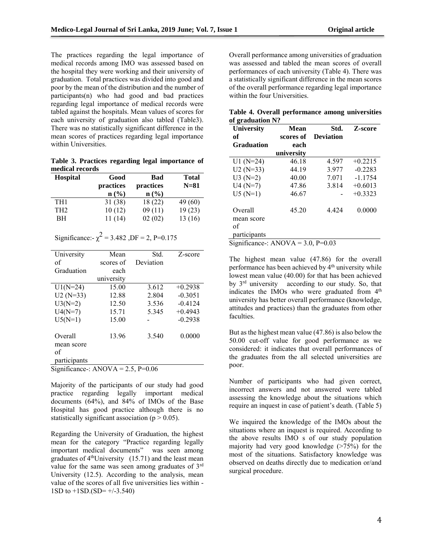The practices regarding the legal importance of medical records among IMO was assessed based on the hospital they were working and their university of graduation. Total practices was divided into good and poor by the mean of the distribution and the number of participants(n) who had good and bad practices regarding legal importance of medical records were tabled against the hospitals. Mean values of scores for each university of graduation also tabled (Table3). There was no statistically significant difference in the mean scores of practices regarding legal importance within Universities.

**Table 3. Practices regarding legal importance of medical records** 

| <b>Hospital</b> | Good<br>practices | Bad<br>practices | <b>Total</b><br>$N=81$ |
|-----------------|-------------------|------------------|------------------------|
|                 | n (% )            | n (% )           |                        |
| TH1             | 31(38)            | 18(22)           | 49 (60)                |
| TH <sub>2</sub> | 10(12)            | 09(11)           | 19(23)                 |
| ВH              | 11(14)            | 02(02)           | 13 (16)                |

Significance: 
$$
\chi^2
$$
 = 3.482 ,DF = 2, P=0.175

| University                         | Mean       | Std.      | Z-score   |
|------------------------------------|------------|-----------|-----------|
| of                                 | scores of  | Deviation |           |
| Graduation                         | each       |           |           |
|                                    | university |           |           |
| $U1(N=24)$                         | 15.00      | 3.612     | $+0.2938$ |
| $U2(N=33)$                         | 12.88      | 2.804     | $-0.3051$ |
| $U3(N=2)$                          | 12.50      | 3.536     | $-0.4124$ |
| $U4(N=7)$                          | 15.71      | 5.345     | $+0.4943$ |
| $U5(N=1)$                          | 15.00      |           | $-0.2938$ |
| Overall                            | 13.96      | 3.540     | 0.0000    |
| mean score                         |            |           |           |
| of                                 |            |           |           |
| participants                       |            |           |           |
| $Sianificance: ANOVA = 2.5$ P=0.06 |            |           |           |

Significance -: ANOVA =  $2.5$ , P= $0.06$ 

Majority of the participants of our study had good practice regarding legally important medical documents (64%), and 84% of IMOs of the Base Hospital has good practice although there is no statistically significant association ( $p > 0.05$ ).

Regarding the University of Graduation, the highest mean for the category "Practice regarding legally important medical documents" was seen among graduates of  $4<sup>th</sup>$ University (15.71) and the least mean value for the same was seen among graduates of 3rd University (12.5). According to the analysis, mean value of the scores of all five universities lies within - 1SD to  $+1SD(SD=+/3.540)$ 

Overall performance among universities of graduation was assessed and tabled the mean scores of overall performances of each university (Table 4). There was a statistically significant difference in the mean scores of the overall performance regarding legal importance within the four Universities.

|                  | Table 4. Overall performance among universities |  |
|------------------|-------------------------------------------------|--|
| of graduation N? |                                                 |  |

| University            | Mean       | Std.             | Z-score   |  |
|-----------------------|------------|------------------|-----------|--|
| of                    | scores of  | <b>Deviation</b> |           |  |
| <b>Graduation</b>     | each       |                  |           |  |
|                       | university |                  |           |  |
| $U1(N=24)$            | 46.18      | 4.597            | $+0.2215$ |  |
| $U2(N=33)$            | 44.19      | 3.977            | $-0.2283$ |  |
| $U3(N=2)$             | 40.00      | 7.071            | $-1.1754$ |  |
| $U4(N=7)$             | 47.86      | 3.814            | $+0.6013$ |  |
| $U5(N=1)$             | 46.67      |                  | $+0.3323$ |  |
| Overall<br>mean score | 45.20      | 4 4 2 4          | 0.0000    |  |
| of                    |            |                  |           |  |
| participants          |            |                  |           |  |

Significance-:  $ANOVA = 3.0$ ,  $P=0.03$ 

The highest mean value (47.86) for the overall performance has been achieved by 4<sup>th</sup> university while lowest mean value (40.00) for that has been achieved by 3rd university according to our study. So, that indicates the IMOs who were graduated from 4<sup>th</sup> university has better overall performance (knowledge, attitudes and practices) than the graduates from other faculties.

But as the highest mean value (47.86) is also below the 50.00 cut-off value for good performance as we considered: it indicates that overall performances of the graduates from the all selected universities are poor.

Number of participants who had given correct, incorrect answers and not answered were tabled assessing the knowledge about the situations which require an inquest in case of patient's death. (Table 5)

We inquired the knowledge of the IMOs about the situations where an inquest is required. According to the above results IMO s of our study population majority had very good knowledge  $($ >75%) for the most of the situations. Satisfactory knowledge was observed on deaths directly due to medication or/and surgical procedure.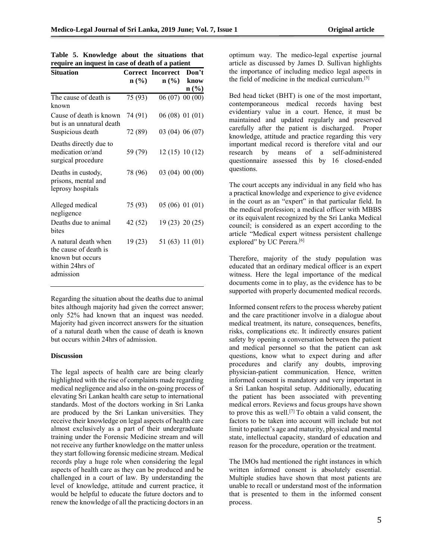| <b>Situation</b>                                                                                  | Correct          | <b>Incorrect</b>            | Don't                            |
|---------------------------------------------------------------------------------------------------|------------------|-----------------------------|----------------------------------|
|                                                                                                   | $\mathbf{n}(\%)$ | $n\left(\frac{0}{0}\right)$ | know                             |
| The cause of death is                                                                             | 75 (93)          |                             | $\mathbf{n}(\%)$<br>06(07)00(00) |
| known                                                                                             |                  |                             |                                  |
| Cause of death is known<br>but is an unnatural death                                              | 74 (91)          |                             | 06(08) 01(01)                    |
| Suspicious death                                                                                  | 72 (89)          |                             | 03 (04) 06 (07)                  |
| Deaths directly due to<br>medication or/and<br>surgical procedure                                 | 59 (79)          |                             | 12(15) 10(12)                    |
| Deaths in custody,<br>prisons, mental and<br>leprosy hospitals                                    | 78 (96)          |                             | 03(04)00(00)                     |
| Alleged medical<br>negligence                                                                     | 75 (93)          |                             | 05 (06) 01 (01)                  |
| Deaths due to animal<br>bites                                                                     | 42 (52)          |                             | 19 (23) 20 (25)                  |
| A natural death when<br>the cause of death is<br>known but occurs<br>within 24hrs of<br>admission | 19(23)           |                             | 51 (63) 11 (01)                  |

|  |  |  | Table 5. Knowledge about the situations that     |  |
|--|--|--|--------------------------------------------------|--|
|  |  |  | require an inquest in case of death of a patient |  |

Regarding the situation about the deaths due to animal bites although majority had given the correct answer; only 52% had known that an inquest was needed. Majority had given incorrect answers for the situation of a natural death when the cause of death is known but occurs within 24hrs of admission.

#### **Discussion**

The legal aspects of health care are being clearly highlighted with the rise of complaints made regarding medical negligence and also in the on-going process of elevating Sri Lankan health care setup to international standards. Most of the doctors working in Sri Lanka are produced by the Sri Lankan universities. They receive their knowledge on legal aspects of health care almost exclusively as a part of their undergraduate training under the Forensic Medicine stream and will not receive any further knowledge on the matter unless they start following forensic medicine stream. Medical records play a huge role when considering the legal aspects of health care as they can be produced and be challenged in a court of law. By understanding the level of knowledge, attitude and current practice, it would be helpful to educate the future doctors and to renew the knowledge of all the practicing doctors in an optimum way. The medico-legal expertise journal article as discussed by James D. Sullivan highlights the importance of including medico legal aspects in the field of medicine in the medical curriculum.[5]

Bed head ticket (BHT) is one of the most important, contemporaneous medical records having best evidentiary value in a court. Hence, it must be maintained and updated regularly and preserved carefully after the patient is discharged. Proper knowledge, attitude and practice regarding this very important medical record is therefore vital and our research by means of a self-administered questionnaire assessed this by 16 closed-ended questions.

The court accepts any individual in any field who has a practical knowledge and experience to give evidence in the court as an "expert" in that particular field. In the medical profession; a medical officer with MBBS or its equivalent recognized by the Sri Lanka Medical council; is considered as an expert according to the article "Medical expert witness persistent challenge explored" by UC Perera.<sup>[6]</sup>

Therefore, majority of the study population was educated that an ordinary medical officer is an expert witness. Here the legal importance of the medical documents come in to play, as the evidence has to be supported with properly documented medical records.

Informed consent refers to the process whereby patient and the care practitioner involve in a dialogue about medical treatment, its nature, consequences, benefits, risks, complications etc. It indirectly ensures patient safety by opening a conversation between the patient and medical personnel so that the patient can ask questions, know what to expect during and after procedures and clarify any doubts, improving physician-patient communication. Hence, written informed consent is mandatory and very important in a Sri Lankan hospital setup. Additionally, educating the patient has been associated with preventing medical errors. Reviews and focus groups have shown to prove this as well.[7] To obtain a valid consent, the factors to be taken into account will include but not limit to patient's age and maturity, physical and mental state, intellectual capacity, standard of education and reason for the procedure, operation or the treatment.

The IMOs had mentioned the right instances in which written informed consent is absolutely essential. Multiple studies have shown that most patients are unable to recall or understand most of the information that is presented to them in the informed consent process.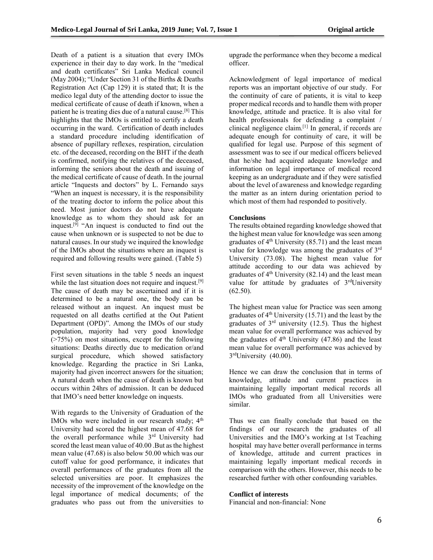Death of a patient is a situation that every IMOs experience in their day to day work. In the "medical and death certificates" Sri Lanka Medical council (May 2004); "Under Section 31 of the Births & Deaths Registration Act (Cap 129) it is stated that; It is the medico legal duty of the attending doctor to issue the medical certificate of cause of death if known, when a patient he is treating dies due of a natural cause.[8] This highlights that the IMOs is entitled to certify a death occurring in the ward. Certification of death includes a standard procedure including identification of absence of pupillary reflexes, respiration, circulation etc. of the deceased, recording on the BHT if the death is confirmed, notifying the relatives of the deceased, informing the seniors about the death and issuing of the medical certificate of cause of death. In the journal article "Inquests and doctors" by L. Fernando says "When an inquest is necessary, it is the responsibility of the treating doctor to inform the police about this need. Most junior doctors do not have adequate knowledge as to whom they should ask for an inquest.<sup>[9]</sup> "An inquest is conducted to find out the cause when unknown or is suspected to not be due to natural causes. In our study we inquired the knowledge of the IMOs about the situations where an inquest is required and following results were gained. (Table 5)

First seven situations in the table 5 needs an inquest while the last situation does not require and inquest.<sup>[9]</sup> The cause of death may be ascertained and if it is determined to be a natural one, the body can be released without an inquest. An inquest must be requested on all deaths certified at the Out Patient Department (OPD)". Among the IMOs of our study population, majority had very good knowledge (>75%) on most situations, except for the following situations: Deaths directly due to medication or/and surgical procedure, which showed satisfactory knowledge. Regarding the practice in Sri Lanka, majority had given incorrect answers for the situation; A natural death when the cause of death is known but occurs within 24hrs of admission. It can be deduced that IMO's need better knowledge on inquests.

With regards to the University of Graduation of the IMOs who were included in our research study;  $4<sup>th</sup>$ University had scored the highest mean of 47.68 for the overall performance while 3<sup>rd</sup> University had scored the least mean value of 40.00 .But as the highest mean value (47.68) is also below 50.00 which was our cutoff value for good performance, it indicates that overall performances of the graduates from all the selected universities are poor. It emphasizes the necessity of the improvement of the knowledge on the legal importance of medical documents; of the graduates who pass out from the universities to upgrade the performance when they become a medical officer.

Acknowledgment of legal importance of medical reports was an important objective of our study. For the continuity of care of patients, it is vital to keep proper medical records and to handle them with proper knowledge, attitude and practice. It is also vital for health professionals for defending a complaint / clinical negligence claim.[1] In general, if records are adequate enough for continuity of care, it will be qualified for legal use. Purpose of this segment of assessment was to see if our medical officers believed that he/she had acquired adequate knowledge and information on legal importance of medical record keeping as an undergraduate and if they were satisfied about the level of awareness and knowledge regarding the matter as an intern during orientation period to which most of them had responded to positively.

# **Conclusions**

The results obtained regarding knowledge showed that the highest mean value for knowledge was seen among graduates of  $4<sup>th</sup>$  University (85.71) and the least mean value for knowledge was among the graduates of 3rd University (73.08). The highest mean value for attitude according to our data was achieved by graduates of  $4<sup>th</sup>$  University (82.14) and the least mean value for attitude by graduates of  $3<sup>rd</sup>$ University  $(62.50)$ .

The highest mean value for Practice was seen among graduates of  $4<sup>th</sup>$  University (15.71) and the least by the graduates of 3rd university (12.5). Thus the highest mean value for overall performance was achieved by the graduates of  $4<sup>th</sup>$  University (47.86) and the least mean value for overall performance was achieved by 3<sup>rd</sup>University (40.00).

Hence we can draw the conclusion that in terms of knowledge, attitude and current practices in maintaining legally important medical records all IMOs who graduated from all Universities were similar.

Thus we can finally conclude that based on the findings of our research the graduates of all Universities and the IMO's working at 1st Teaching hospital may have better overall performance in terms of knowledge, attitude and current practices in maintaining legally important medical records in comparison with the others. However, this needs to be researched further with other confounding variables.

## **Conflict of interests**

Financial and non-financial: None